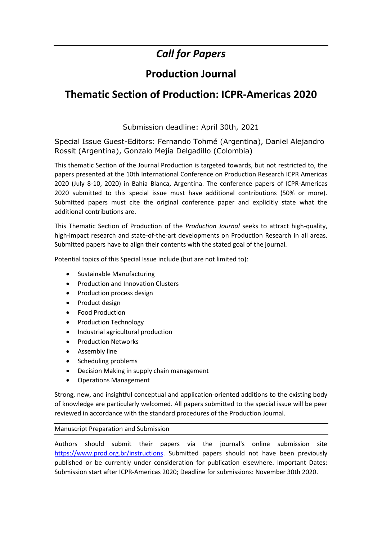# *Call for Papers*

## **Production Journal**

## **Thematic Section of Production: ICPR-Americas 2020**

### Submission deadline: April 30th, 2021

Special Issue Guest-Editors: Fernando Tohmé (Argentina), Daniel Alejandro Rossit (Argentina), Gonzalo Mejía Delgadillo (Colombia)

This thematic Section of the Journal Production is targeted towards, but not restricted to, the papers presented at the 10th International Conference on Production Research ICPR Americas 2020 (July 8-10, 2020) in Bahía Blanca, Argentina. The conference papers of ICPR-Americas 2020 submitted to this special issue must have additional contributions (50% or more). Submitted papers must cite the original conference paper and explicitly state what the additional contributions are.

This Thematic Section of Production of the *Production Journal* seeks to attract high-quality, high-impact research and state-of-the-art developments on Production Research in all areas. Submitted papers have to align their contents with the stated goal of the journal.

Potential topics of this Special Issue include (but are not limited to):

- Sustainable Manufacturing
- Production and Innovation Clusters
- Production process design
- Product design
- Food Production
- Production Technology
- Industrial agricultural production
- **•** Production Networks
- Assembly line
- Scheduling problems
- Decision Making in supply chain management
- Operations Management

Strong, new, and insightful conceptual and application-oriented additions to the existing body of knowledge are particularly welcomed. All papers submitted to the special issue will be peer reviewed in accordance with the standard procedures of the Production Journal.

### Manuscript Preparation and Submission

Authors should submit their papers via the journal's online submission site [https://www.prod.org.br/instructions.](https://www.prod.org.br/instructions) Submitted papers should not have been previously published or be currently under consideration for publication elsewhere. Important Dates: Submission start after ICPR-Americas 2020; Deadline for submissions: November 30th 2020.